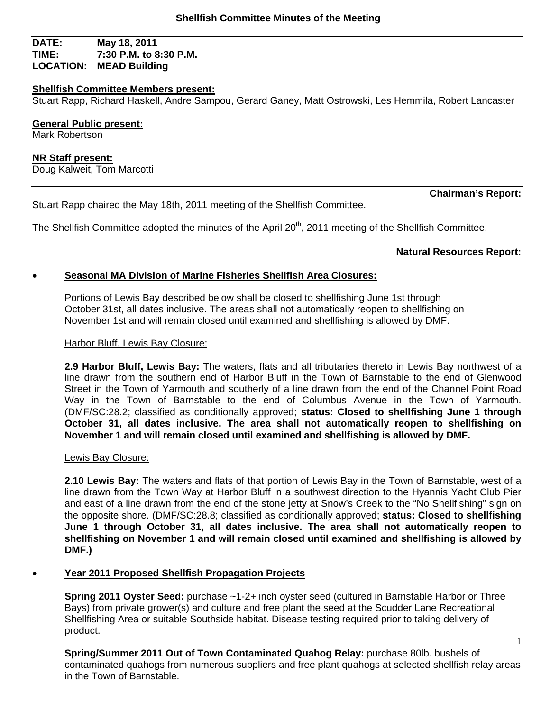### **DATE: May 18, 2011 TIME: 7:30 P.M. to 8:30 P.M. LOCATION: MEAD Building**

## **Shellfish Committee Members present:**

Stuart Rapp, Richard Haskell, Andre Sampou, Gerard Ganey, Matt Ostrowski, Les Hemmila, Robert Lancaster

**General Public present:**  Mark Robertson

**NR Staff present:** Doug Kalweit, Tom Marcotti

Stuart Rapp chaired the May 18th, 2011 meeting of the Shellfish Committee.

The Shellfish Committee adopted the minutes of the April 20<sup>th</sup>, 2011 meeting of the Shellfish Committee.

**Natural Resources Report:** 

**Chairman's Report:** 

1

# **Seasonal MA Division of Marine Fisheries Shellfish Area Closures:**

Portions of Lewis Bay described below shall be closed to shellfishing June 1st through October 31st, all dates inclusive. The areas shall not automatically reopen to shellfishing on November 1st and will remain closed until examined and shellfishing is allowed by DMF.

## Harbor Bluff, Lewis Bay Closure:

**2.9 Harbor Bluff, Lewis Bay:** The waters, flats and all tributaries thereto in Lewis Bay northwest of a line drawn from the southern end of Harbor Bluff in the Town of Barnstable to the end of Glenwood Street in the Town of Yarmouth and southerly of a line drawn from the end of the Channel Point Road Way in the Town of Barnstable to the end of Columbus Avenue in the Town of Yarmouth. (DMF/SC:28.2; classified as conditionally approved; **status: Closed to shellfishing June 1 through October 31, all dates inclusive. The area shall not automatically reopen to shellfishing on November 1 and will remain closed until examined and shellfishing is allowed by DMF.** 

## Lewis Bay Closure:

**2.10 Lewis Bay:** The waters and flats of that portion of Lewis Bay in the Town of Barnstable, west of a line drawn from the Town Way at Harbor Bluff in a southwest direction to the Hyannis Yacht Club Pier and east of a line drawn from the end of the stone jetty at Snow's Creek to the "No Shellfishing" sign on the opposite shore. (DMF/SC:28.8; classified as conditionally approved; **status: Closed to shellfishing June 1 through October 31, all dates inclusive. The area shall not automatically reopen to shellfishing on November 1 and will remain closed until examined and shellfishing is allowed by DMF.)** 

# **Year 2011 Proposed Shellfish Propagation Projects**

**Spring 2011 Oyster Seed:** purchase ~1-2+ inch oyster seed (cultured in Barnstable Harbor or Three Bays) from private grower(s) and culture and free plant the seed at the Scudder Lane Recreational Shellfishing Area or suitable Southside habitat. Disease testing required prior to taking delivery of product.

**Spring/Summer 2011 Out of Town Contaminated Quahog Relay:** purchase 80lb. bushels of contaminated quahogs from numerous suppliers and free plant quahogs at selected shellfish relay areas in the Town of Barnstable.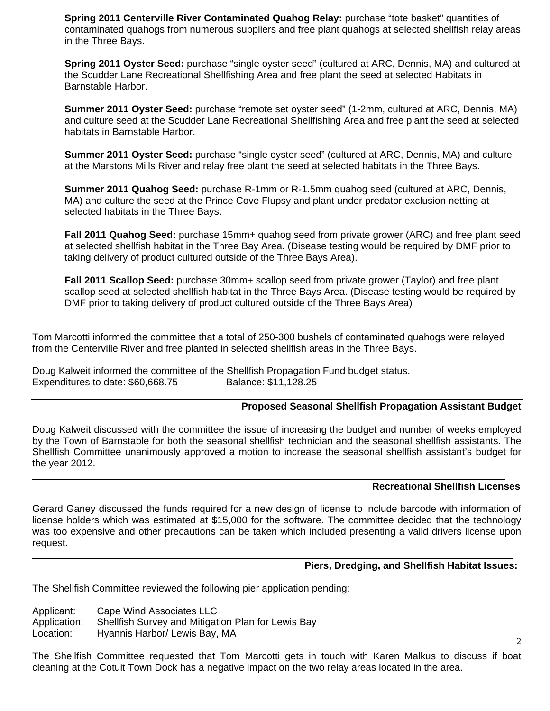**Spring 2011 Centerville River Contaminated Quahog Relay:** purchase "tote basket" quantities of contaminated quahogs from numerous suppliers and free plant quahogs at selected shellfish relay areas in the Three Bays.

**Spring 2011 Oyster Seed:** purchase "single oyster seed" (cultured at ARC, Dennis, MA) and cultured at the Scudder Lane Recreational Shellfishing Area and free plant the seed at selected Habitats in Barnstable Harbor.

**Summer 2011 Oyster Seed:** purchase "remote set oyster seed" (1-2mm, cultured at ARC, Dennis, MA) and culture seed at the Scudder Lane Recreational Shellfishing Area and free plant the seed at selected habitats in Barnstable Harbor.

**Summer 2011 Oyster Seed:** purchase "single oyster seed" (cultured at ARC, Dennis, MA) and culture at the Marstons Mills River and relay free plant the seed at selected habitats in the Three Bays.

**Summer 2011 Quahog Seed:** purchase R-1mm or R-1.5mm quahog seed (cultured at ARC, Dennis, MA) and culture the seed at the Prince Cove Flupsy and plant under predator exclusion netting at selected habitats in the Three Bays.

**Fall 2011 Quahog Seed:** purchase 15mm+ quahog seed from private grower (ARC) and free plant seed at selected shellfish habitat in the Three Bay Area. (Disease testing would be required by DMF prior to taking delivery of product cultured outside of the Three Bays Area).

**Fall 2011 Scallop Seed:** purchase 30mm+ scallop seed from private grower (Taylor) and free plant scallop seed at selected shellfish habitat in the Three Bays Area. (Disease testing would be required by DMF prior to taking delivery of product cultured outside of the Three Bays Area)

Tom Marcotti informed the committee that a total of 250-300 bushels of contaminated quahogs were relayed from the Centerville River and free planted in selected shellfish areas in the Three Bays.

Doug Kalweit informed the committee of the Shellfish Propagation Fund budget status. Expenditures to date: \$60,668.75 Balance: \$11,128.25

### **Proposed Seasonal Shellfish Propagation Assistant Budget**

Doug Kalweit discussed with the committee the issue of increasing the budget and number of weeks employed by the Town of Barnstable for both the seasonal shellfish technician and the seasonal shellfish assistants. The Shellfish Committee unanimously approved a motion to increase the seasonal shellfish assistant's budget for the year 2012.

#### **Recreational Shellfish Licenses**

Gerard Ganey discussed the funds required for a new design of license to include barcode with information of license holders which was estimated at \$15,000 for the software. The committee decided that the technology was too expensive and other precautions can be taken which included presenting a valid drivers license upon request.

### **Piers, Dredging, and Shellfish Habitat Issues:**

The Shellfish Committee reviewed the following pier application pending:

Applicant: Cape Wind Associates LLC

 $\overline{a}$ 

 $\overline{a}$ 

Application: Shellfish Survey and Mitigation Plan for Lewis Bay

Location: Hyannis Harbor/ Lewis Bay, MA

The Shellfish Committee requested that Tom Marcotti gets in touch with Karen Malkus to discuss if boat cleaning at the Cotuit Town Dock has a negative impact on the two relay areas located in the area.